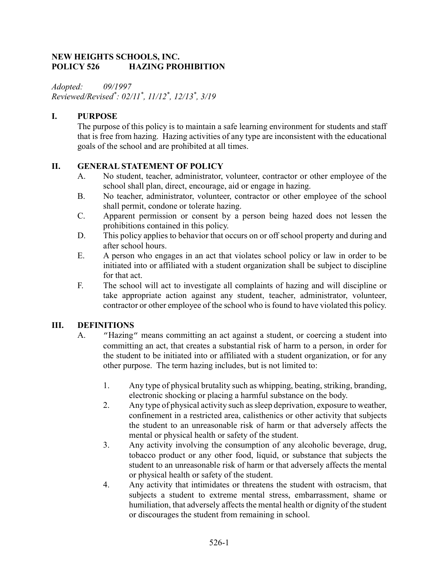#### NEW HEIGHTS SCHOOLS, INC. POLICY 526 HAZING PROHIBITION

Adopted: 09/1997 Reviewed/Revised\* : 02/11\* , 11/12\* , 12/13\* , 3/19

# I. PURPOSE

The purpose of this policy is to maintain a safe learning environment for students and staff that is free from hazing. Hazing activities of any type are inconsistent with the educational goals of the school and are prohibited at all times.

# II. GENERAL STATEMENT OF POLICY

- A. No student, teacher, administrator, volunteer, contractor or other employee of the school shall plan, direct, encourage, aid or engage in hazing.
- B. No teacher, administrator, volunteer, contractor or other employee of the school shall permit, condone or tolerate hazing.
- C. Apparent permission or consent by a person being hazed does not lessen the prohibitions contained in this policy.
- D. This policy applies to behavior that occurs on or off school property and during and after school hours.
- E. A person who engages in an act that violates school policy or law in order to be initiated into or affiliated with a student organization shall be subject to discipline for that act.
- F. The school will act to investigate all complaints of hazing and will discipline or take appropriate action against any student, teacher, administrator, volunteer, contractor or other employee of the school who is found to have violated this policy.

## III. DEFINITIONS

- A. "Hazing" means committing an act against a student, or coercing a student into committing an act, that creates a substantial risk of harm to a person, in order for the student to be initiated into or affiliated with a student organization, or for any other purpose. The term hazing includes, but is not limited to:
	- 1. Any type of physical brutality such as whipping, beating, striking, branding, electronic shocking or placing a harmful substance on the body.
	- 2. Any type of physical activity such as sleep deprivation, exposure to weather, confinement in a restricted area, calisthenics or other activity that subjects the student to an unreasonable risk of harm or that adversely affects the mental or physical health or safety of the student.
	- 3. Any activity involving the consumption of any alcoholic beverage, drug, tobacco product or any other food, liquid, or substance that subjects the student to an unreasonable risk of harm or that adversely affects the mental or physical health or safety of the student.
	- 4. Any activity that intimidates or threatens the student with ostracism, that subjects a student to extreme mental stress, embarrassment, shame or humiliation, that adversely affects the mental health or dignity of the student or discourages the student from remaining in school.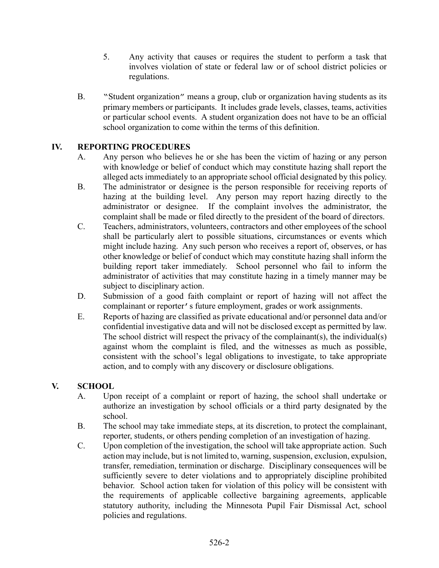- 5. Any activity that causes or requires the student to perform a task that involves violation of state or federal law or of school district policies or regulations.
- B. "Student organization" means a group, club or organization having students as its primary members or participants. It includes grade levels, classes, teams, activities or particular school events. A student organization does not have to be an official school organization to come within the terms of this definition.

# IV. REPORTING PROCEDURES

- A. Any person who believes he or she has been the victim of hazing or any person with knowledge or belief of conduct which may constitute hazing shall report the alleged acts immediately to an appropriate school official designated by this policy.
- B. The administrator or designee is the person responsible for receiving reports of hazing at the building level. Any person may report hazing directly to the administrator or designee. If the complaint involves the administrator, the complaint shall be made or filed directly to the president of the board of directors.
- C. Teachers, administrators, volunteers, contractors and other employees of the school shall be particularly alert to possible situations, circumstances or events which might include hazing. Any such person who receives a report of, observes, or has other knowledge or belief of conduct which may constitute hazing shall inform the building report taker immediately. School personnel who fail to inform the administrator of activities that may constitute hazing in a timely manner may be subject to disciplinary action.
- D. Submission of a good faith complaint or report of hazing will not affect the complainant or reporter's future employment, grades or work assignments.
- E. Reports of hazing are classified as private educational and/or personnel data and/or confidential investigative data and will not be disclosed except as permitted by law. The school district will respect the privacy of the complainant(s), the individual(s) against whom the complaint is filed, and the witnesses as much as possible, consistent with the school's legal obligations to investigate, to take appropriate action, and to comply with any discovery or disclosure obligations.

## V. SCHOOL

- A. Upon receipt of a complaint or report of hazing, the school shall undertake or authorize an investigation by school officials or a third party designated by the school.
- B. The school may take immediate steps, at its discretion, to protect the complainant, reporter, students, or others pending completion of an investigation of hazing.
- C. Upon completion of the investigation, the school will take appropriate action. Such action may include, but is not limited to, warning, suspension, exclusion, expulsion, transfer, remediation, termination or discharge. Disciplinary consequences will be sufficiently severe to deter violations and to appropriately discipline prohibited behavior. School action taken for violation of this policy will be consistent with the requirements of applicable collective bargaining agreements, applicable statutory authority, including the Minnesota Pupil Fair Dismissal Act, school policies and regulations.